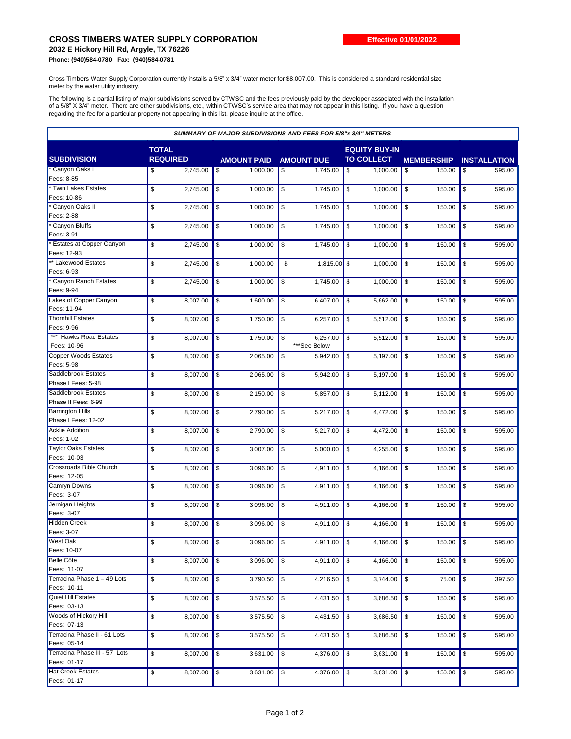## **CROSS TIMBERS WATER SUPPLY CORPORATION**

**2032 E Hickory Hill Rd, Argyle, TX 76226 Phone: (940)584-0780 Fax: (940)584-0781**

Cross Timbers Water Supply Corporation currently installs a 5/8" x 3/4" water meter for \$8,007.00. This is considered a standard residential size meter by the water utility industry.

The following is a partial listing of major subdivisions served by CTWSC and the fees previously paid by the developer associated with the installation of a 5/8" X 3/4" meter. There are other subdivisions, etc., within CTWSC's service area that may not appear in this listing. If you have a question regarding the fee for a particular property not appearing in this list, please inquire at the office.

| <b>SUMMARY OF MAJOR SUBDIVISIONS AND FEES FOR 5/8"x 3/4" METERS</b> |                 |                    |                   |                        |                      |                     |  |  |
|---------------------------------------------------------------------|-----------------|--------------------|-------------------|------------------------|----------------------|---------------------|--|--|
|                                                                     | <b>TOTAL</b>    |                    |                   | <b>EQUITY BUY-IN</b>   |                      |                     |  |  |
| <b>SUBDIVISION</b>                                                  | <b>REQUIRED</b> | <b>AMOUNT PAID</b> | <b>AMOUNT DUE</b> | <b>TO COLLECT</b>      | <b>MEMBERSHIP</b>    | <b>INSTALLATION</b> |  |  |
| * Canyon Oaks I                                                     | 2,745.00<br>\$  | \$<br>1,000.00     | \$<br>1,745.00    | \$<br>1,000.00         | 150.00<br>\$         | 595.00<br>\$        |  |  |
| Fees: 8-85                                                          |                 |                    |                   |                        |                      |                     |  |  |
| <b>Twin Lakes Estates</b>                                           | \$<br>2,745.00  | \$<br>1,000.00     | \$<br>1,745.00    | \$<br>1,000.00         | \$<br>150.00         | \$<br>595.00        |  |  |
| Fees: 10-86                                                         |                 |                    |                   |                        |                      |                     |  |  |
| Canyon Oaks II                                                      | 2,745.00<br>\$  | \$<br>1,000.00     | \$<br>1,745.00    | 1,000.00<br>\$         | \$<br>150.00         | 595.00<br>\$        |  |  |
| Fees: 2-88                                                          |                 |                    |                   |                        |                      |                     |  |  |
| * Canyon Bluffs                                                     | \$<br>2.745.00  | \$<br>1,000.00     | \$<br>1,745.00    | \$<br>1,000.00         | \$<br>150.00         | \$<br>595.00        |  |  |
| Fees: 3-91                                                          |                 |                    |                   |                        |                      |                     |  |  |
| Estates at Copper Canyon                                            | \$<br>2,745.00  | \$<br>1.000.00     | \$<br>1,745.00    | \$<br>1,000.00         | \$<br>150.00         | \$<br>595.00        |  |  |
| Fees: 12-93                                                         |                 |                    |                   |                        |                      |                     |  |  |
| ** Lakewood Estates                                                 | \$<br>2,745.00  | \$<br>1.000.00     | \$<br>1,815.00    | $\sqrt{3}$<br>1,000.00 | \$<br>150.00         | \$<br>595.00        |  |  |
| Fees: 6-93                                                          |                 |                    |                   |                        |                      |                     |  |  |
| * Canyon Ranch Estates                                              | \$<br>2,745.00  | \$<br>1,000.00     | \$<br>1,745.00    | \$<br>1,000.00         | \$<br>150.00         | 595.00<br>\$        |  |  |
| Fees: 9-94                                                          |                 |                    |                   |                        |                      |                     |  |  |
| Lakes of Copper Canyon                                              | \$<br>8,007.00  | \$<br>1,600.00     | \$<br>6,407.00    | \$<br>5,662.00         | \$<br>150.00         | \$<br>595.00        |  |  |
| Fees: 11-94                                                         |                 |                    |                   |                        |                      |                     |  |  |
| <b>Thornhill Estates</b>                                            | \$<br>8,007.00  | \$<br>1,750.00     | \$<br>6,257.00    | \$<br>5,512.00         | \$<br>150.00         | \$<br>595.00        |  |  |
| Fees: 9-96                                                          |                 |                    |                   |                        |                      |                     |  |  |
| *** Hawks Road Estates                                              | \$<br>8,007.00  | \$<br>1,750.00     | \$<br>6.257.00    | \$<br>5,512.00         | \$<br>150.00         | \$<br>595.00        |  |  |
| Fees: 10-96                                                         |                 |                    | ***See Below      |                        |                      |                     |  |  |
| <b>Copper Woods Estates</b>                                         | \$<br>8,007.00  | \$<br>2,065.00     | \$<br>5,942.00    | \$<br>5,197.00         | \$<br>150.00         | \$<br>595.00        |  |  |
| Fees: 5-98                                                          |                 |                    |                   |                        |                      |                     |  |  |
| Saddlebrook Estates                                                 | \$<br>8,007.00  | \$<br>2,065.00     | \$<br>5,942.00    | \$<br>5,197.00         | \$<br>150.00         | \$<br>595.00        |  |  |
| Phase I Fees: 5-98                                                  |                 |                    |                   |                        |                      |                     |  |  |
| Saddlebrook Estates                                                 | \$<br>8,007.00  | \$<br>2,150.00     | \$<br>5,857.00    | \$<br>5,112.00         | \$<br>150.00         | \$<br>595.00        |  |  |
| Phase II Fees: 6-99                                                 |                 |                    |                   |                        |                      |                     |  |  |
| <b>Barrington Hills</b>                                             | 8,007.00<br>\$  | \$<br>2,790.00     | \$<br>5,217.00    | \$<br>4,472.00         | \$<br>150.00         | 595.00<br>\$        |  |  |
| Phase I Fees: 12-02                                                 |                 |                    |                   |                        |                      |                     |  |  |
| <b>Acklie Addition</b>                                              | \$<br>8,007.00  | \$<br>2,790.00     | \$<br>5,217.00    | 4,472.00<br>\$         | \$<br>150.00         | 595.00<br>\$        |  |  |
| Fees: 1-02                                                          |                 |                    |                   |                        |                      |                     |  |  |
| <b>Taylor Oaks Estates</b>                                          | \$<br>8,007.00  | \$<br>3,007.00     | \$<br>5,000.00    | \$<br>4,255.00         | \$<br>150.00         | 595.00<br>\$        |  |  |
| Fees: 10-03                                                         |                 |                    |                   |                        |                      |                     |  |  |
| <b>Crossroads Bible Church</b>                                      | \$<br>8,007.00  | \$<br>3,096.00     | \$<br>4,911.00    | \$<br>4,166.00         | \$<br>150.00         | \$<br>595.00        |  |  |
| Fees: 12-05                                                         |                 |                    |                   |                        |                      |                     |  |  |
| <b>Camryn Downs</b>                                                 | \$<br>8,007.00  | \$<br>3,096.00     | \$<br>4,911.00    | \$<br>4,166.00         | \$<br>150.00         | \$<br>595.00        |  |  |
| Fees: 3-07                                                          |                 |                    |                   |                        |                      |                     |  |  |
| Jernigan Heights                                                    | \$<br>8,007.00  | \$<br>3.096.00     | \$<br>4.911.00    | \$<br>4,166.00         | \$<br>150.00         | \$<br>595.00        |  |  |
| Fees: 3-07                                                          |                 |                    |                   |                        |                      |                     |  |  |
| <b>Hidden Creek</b>                                                 | \$<br>8,007.00  | \$<br>3,096.00     | \$<br>4,911.00    | \$<br>4,166.00         | \$<br>150.00         | \$<br>595.00        |  |  |
| Fees: 3-07                                                          |                 |                    |                   |                        |                      |                     |  |  |
| <b>West Oak</b>                                                     | \$<br>8,007.00  | \$<br>3,096.00     | \$<br>4,911.00    | <b>\$</b><br>4,166.00  | $\sqrt{3}$<br>150.00 | l \$<br>595.00      |  |  |
| Fees: 10-07                                                         |                 |                    |                   |                        |                      |                     |  |  |
| Belle Côte                                                          | 8,007.00<br>\$  | 3,096.00<br>\$     | 4,911.00<br>\$    | 4,166.00<br>\$         | 150.00<br>\$         | 595.00<br>\$        |  |  |
| Fees: 11-07                                                         |                 |                    |                   |                        |                      |                     |  |  |
| Terracina Phase 1 - 49 Lots                                         | \$<br>8,007.00  | \$<br>3,790.50     | \$<br>4,216.50    | 3,744.00<br>\$         | \$<br>75.00          | 397.50<br>\$        |  |  |
| Fees: 10-11                                                         |                 |                    |                   |                        |                      |                     |  |  |
| <b>Quiet Hill Estates</b>                                           | \$<br>8,007.00  | \$<br>3,575.50     | 4,431.50<br>\$    | \$<br>3,686.50         | $\sqrt{3}$<br>150.00 | \$<br>595.00        |  |  |
| Fees: 03-13                                                         |                 |                    |                   |                        |                      |                     |  |  |
| <b>Woods of Hickory Hill</b>                                        | \$<br>8,007.00  | \$<br>3,575.50     | 4,431.50<br>\$    | \$<br>3,686.50         | \$<br>150.00         | \$<br>595.00        |  |  |
| Fees: 07-13                                                         |                 |                    |                   |                        |                      |                     |  |  |
| Terracina Phase II - 61 Lots                                        | \$<br>8,007.00  | \$<br>3,575.50     | \$<br>4,431.50    | 3,686.50<br>\$         | \$<br>150.00         | \$<br>595.00        |  |  |
| Fees: 05-14                                                         |                 |                    |                   |                        |                      |                     |  |  |
| Terracina Phase III - 57 Lots                                       | \$<br>8,007.00  | \$<br>3,631.00     | \$<br>4,376.00    | \$<br>3,631.00         | \$<br>150.00         | \$<br>595.00        |  |  |
| Fees: 01-17                                                         |                 |                    |                   |                        |                      |                     |  |  |
| <b>Hat Creek Estates</b>                                            | \$<br>8,007.00  | \$<br>3,631.00     | \$<br>4,376.00    | 3,631.00<br>\$         | \$<br>150.00         | \$<br>595.00        |  |  |
| Fees: 01-17                                                         |                 |                    |                   |                        |                      |                     |  |  |